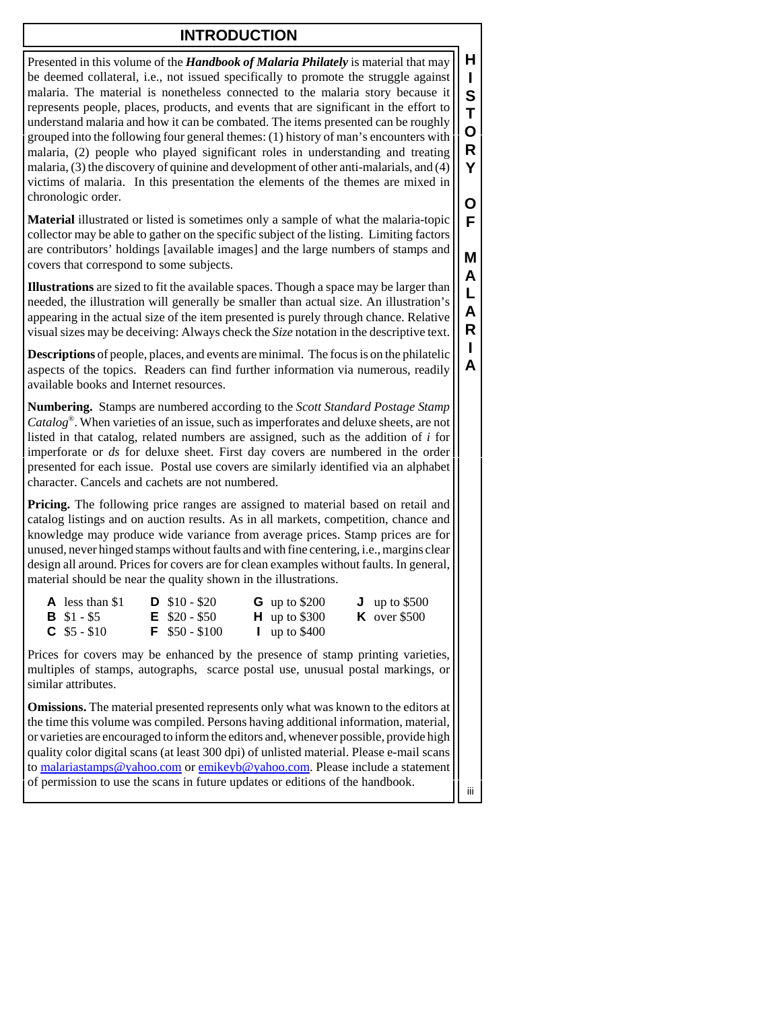## **INTRODUCTION**

Presented in this volume of the *Handbook of Malaria Philately* is material that may be deemed collateral, i.e., not issued specifically to promote the struggle against malaria. The material is nonetheless connected to the malaria story because it represents people, places, products, and events that are significant in the effort to understand malaria and how it can be combated. The items presented can be roughly grouped into the following four general themes: (1) history of man's encounters with malaria, (2) people who played significant roles in understanding and treating malaria, (3) the discovery of quinine and development of other anti-malarials, and (4) victims of malaria. In this presentation the elements of the themes are mixed in chronologic order.

**Material** illustrated or listed is sometimes only a sample of what the malaria-topic collector may be able to gather on the specific subject of the listing. Limiting factors are contributors' holdings [available images] and the large numbers of stamps and covers that correspond to some subjects.

**Illustrations** are sized to fit the available spaces. Though a space may be larger than needed, the illustration will generally be smaller than actual size. An illustration's appearing in the actual size of the item presented is purely through chance. Relative visual sizes may be deceiving: Always check the *Size* notation in the descriptive text.

**Descriptions** of people, places, and events are minimal. The focus is on the philatelic aspects of the topics. Readers can find further information via numerous, readily available books and Internet resources.

**Numbering.** Stamps are numbered according to the *Scott Standard Postage Stamp Catalog*®. When varieties of an issue, such as imperforates and deluxe sheets, are not listed in that catalog, related numbers are assigned, such as the addition of *i* for imperforate or *ds* for deluxe sheet. First day covers are numbered in the order presented for each issue. Postal use covers are similarly identified via an alphabet character. Cancels and cachets are not numbered.

**Pricing.** The following price ranges are assigned to material based on retail and catalog listings and on auction results. As in all markets, competition, chance and knowledge may produce wide variance from average prices. Stamp prices are for unused, never hinged stamps without faults and with fine centering, i.e., margins clear design all around. Prices for covers are for clean examples without faults. In general, material should be near the quality shown in the illustrations.

| $\mathbf{A}$ less than \$1 | $D$ \$10 - \$20          | <b>G</b> up to $$200$ | $J$ up to \$500     |
|----------------------------|--------------------------|-----------------------|---------------------|
| <b>B</b> $$1 - $5$         | $\mathsf{E}$ \$20 - \$50 | $H$ up to \$300       | <b>K</b> over \$500 |
| $C$ \$5 - \$10             | $F$ \$50 - \$100         | $\mu$ up to \$400     |                     |

Prices for covers may be enhanced by the presence of stamp printing varieties, multiples of stamps, autographs, scarce postal use, unusual postal markings, or similar attributes.

**Omissions.** The material presented represents only what was known to the editors at the time this volume was compiled. Persons having additional information, material, or varieties are encouraged to inform the editors and, whenever possible, provide high quality color digital scans (at least 300 dpi) of unlisted material. Please e-mail scans to malariastamps@yahoo.com or emikeyb@yahoo.com. Please include a statement of permission to use the scans in future updates or editions of the handbook.

**H I S T O R Y**

**O F**

**M A L A R I A**